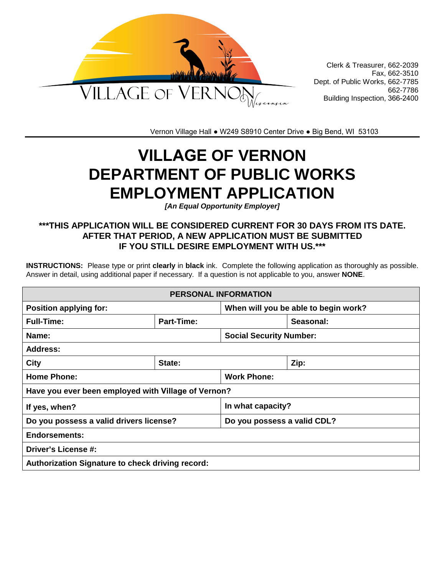

Clerk & Treasurer, 662-2039 Fax, 662-3510 Dept. of Public Works, 662-7785 662-7786 Building Inspection, 366-2400

Vernon Village Hall ● W249 S8910 Center Drive ● Big Bend, WI 53103

# **VILLAGE OF VERNON DEPARTMENT OF PUBLIC WORKS EMPLOYMENT APPLICATION**

*[An Equal Opportunity Employer]*

## **\*\*\*THIS APPLICATION WILL BE CONSIDERED CURRENT FOR 30 DAYS FROM ITS DATE. AFTER THAT PERIOD, A NEW APPLICATION MUST BE SUBMITTED IF YOU STILL DESIRE EMPLOYMENT WITH US.\*\*\***

**INSTRUCTIONS:** Please type or print **clearly** in **black** ink. Complete the following application as thoroughly as possible. Answer in detail, using additional paper if necessary. If a question is not applicable to you, answer **NONE**.

| <b>PERSONAL INFORMATION</b>                         |                                |                                      |           |  |
|-----------------------------------------------------|--------------------------------|--------------------------------------|-----------|--|
| <b>Position applying for:</b>                       |                                | When will you be able to begin work? |           |  |
| <b>Full-Time:</b>                                   | Part-Time:                     |                                      | Seasonal: |  |
| Name:                                               | <b>Social Security Number:</b> |                                      |           |  |
| <b>Address:</b>                                     |                                |                                      |           |  |
| <b>City</b>                                         | State:                         |                                      | Zip:      |  |
| <b>Home Phone:</b>                                  | <b>Work Phone:</b>             |                                      |           |  |
| Have you ever been employed with Village of Vernon? |                                |                                      |           |  |
| If yes, when?                                       |                                | In what capacity?                    |           |  |
| Do you possess a valid drivers license?             |                                | Do you possess a valid CDL?          |           |  |
| <b>Endorsements:</b>                                |                                |                                      |           |  |
| <b>Driver's License #:</b>                          |                                |                                      |           |  |
| Authorization Signature to check driving record:    |                                |                                      |           |  |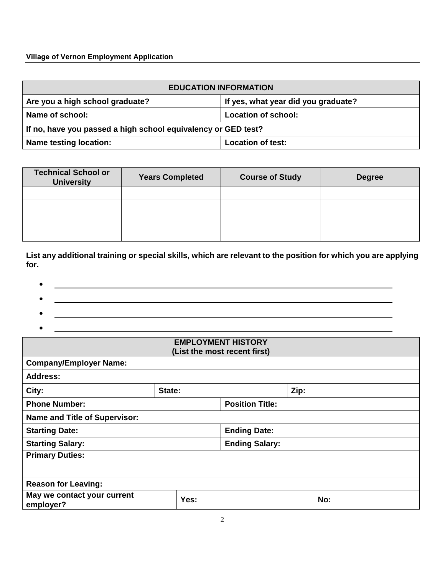### **Village of Vernon Employment Application**

| <b>EDUCATION INFORMATION</b>                                  |                                     |  |  |
|---------------------------------------------------------------|-------------------------------------|--|--|
| Are you a high school graduate?                               | If yes, what year did you graduate? |  |  |
| Name of school:                                               | Location of school:                 |  |  |
| If no, have you passed a high school equivalency or GED test? |                                     |  |  |
| Name testing location:<br><b>Location of test:</b>            |                                     |  |  |

| <b>Technical School or</b><br><b>University</b> | <b>Years Completed</b> | <b>Course of Study</b> | <b>Degree</b> |
|-------------------------------------------------|------------------------|------------------------|---------------|
|                                                 |                        |                        |               |
|                                                 |                        |                        |               |
|                                                 |                        |                        |               |
|                                                 |                        |                        |               |

**List any additional training or special skills, which are relevant to the position for which you are applying for.** 

- •
- •
- 
- •

| <b>EMPLOYMENT HISTORY</b><br>(List the most recent first) |                        |                       |      |     |
|-----------------------------------------------------------|------------------------|-----------------------|------|-----|
| <b>Company/Employer Name:</b>                             |                        |                       |      |     |
| <b>Address:</b>                                           |                        |                       |      |     |
| City:                                                     | State:                 |                       | Zip: |     |
| <b>Phone Number:</b>                                      | <b>Position Title:</b> |                       |      |     |
| <b>Name and Title of Supervisor:</b>                      |                        |                       |      |     |
| <b>Starting Date:</b><br><b>Ending Date:</b>              |                        |                       |      |     |
| <b>Starting Salary:</b>                                   |                        | <b>Ending Salary:</b> |      |     |
| <b>Primary Duties:</b>                                    |                        |                       |      |     |
|                                                           |                        |                       |      |     |
| <b>Reason for Leaving:</b>                                |                        |                       |      |     |
| May we contact your current<br>employer?                  | Yes:                   |                       |      | No: |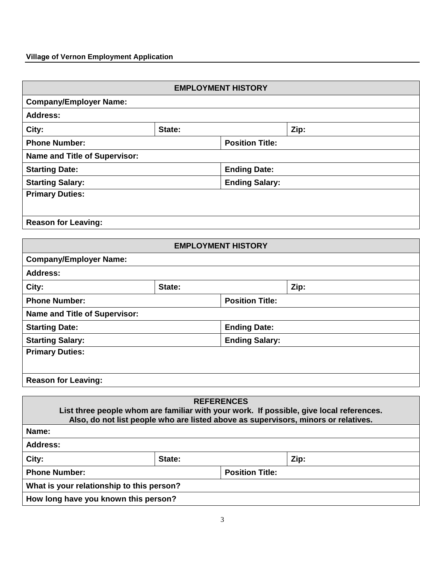# **Village of Vernon Employment Application**

| <b>EMPLOYMENT HISTORY</b>                                                                                    |                           |                        |      |  |
|--------------------------------------------------------------------------------------------------------------|---------------------------|------------------------|------|--|
| <b>Company/Employer Name:</b>                                                                                |                           |                        |      |  |
| <b>Address:</b>                                                                                              |                           |                        |      |  |
| City:                                                                                                        | State:                    |                        | Zip: |  |
| <b>Phone Number:</b>                                                                                         |                           | <b>Position Title:</b> |      |  |
| <b>Name and Title of Supervisor:</b>                                                                         |                           |                        |      |  |
| <b>Starting Date:</b>                                                                                        |                           | <b>Ending Date:</b>    |      |  |
| <b>Starting Salary:</b>                                                                                      |                           | <b>Ending Salary:</b>  |      |  |
| <b>Primary Duties:</b>                                                                                       |                           |                        |      |  |
|                                                                                                              |                           |                        |      |  |
| <b>Reason for Leaving:</b>                                                                                   |                           |                        |      |  |
|                                                                                                              |                           |                        |      |  |
|                                                                                                              | <b>EMPLOYMENT HISTORY</b> |                        |      |  |
| <b>Company/Employer Name:</b>                                                                                |                           |                        |      |  |
| <b>Address:</b>                                                                                              |                           |                        |      |  |
| City:                                                                                                        | State:                    |                        | Zip: |  |
| <b>Phone Number:</b><br><b>Position Title:</b>                                                               |                           |                        |      |  |
| <b>Name and Title of Supervisor:</b>                                                                         |                           |                        |      |  |
| <b>Starting Date:</b>                                                                                        |                           | <b>Ending Date:</b>    |      |  |
| <b>Starting Salary:</b>                                                                                      |                           | <b>Ending Salary:</b>  |      |  |
| <b>Primary Duties:</b>                                                                                       |                           |                        |      |  |
|                                                                                                              |                           |                        |      |  |
| <b>Reason for Leaving:</b>                                                                                   |                           |                        |      |  |
|                                                                                                              |                           |                        |      |  |
| <b>REFERENCES</b><br>List three people whom are familiar with your work. If possible, give local references. |                           |                        |      |  |
| Also, do not list people who are listed above as supervisors, minors or relatives.                           |                           |                        |      |  |
| Name:                                                                                                        |                           |                        |      |  |
| <b>Address:</b>                                                                                              |                           |                        |      |  |
| City:                                                                                                        | State:                    |                        | Zip: |  |
| <b>Phone Number:</b>                                                                                         |                           | <b>Position Title:</b> |      |  |

**What is your relationship to this person?** 

**How long have you known this person?**